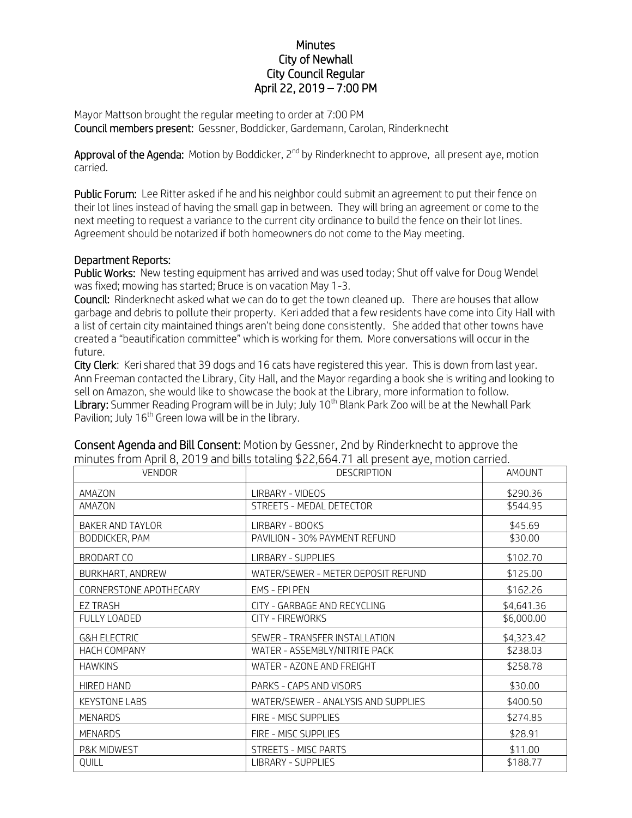## **Minutes** City of Newhall City Council Regular April 22, 2019 – 7:00 PM

Mayor Mattson brought the regular meeting to order at 7:00 PM Council members present: Gessner, Boddicker, Gardemann, Carolan, Rinderknecht

Approval of the Agenda: Motion by Boddicker, 2<sup>nd</sup> by Rinderknecht to approve, all present aye, motion carried.

Public Forum: Lee Ritter asked if he and his neighbor could submit an agreement to put their fence on their lot lines instead of having the small gap in between. They will bring an agreement or come to the next meeting to request a variance to the current city ordinance to build the fence on their lot lines. Agreement should be notarized if both homeowners do not come to the May meeting.

## Department Reports:

Public Works: New testing equipment has arrived and was used today; Shut off valve for Doug Wendel was fixed; mowing has started; Bruce is on vacation May 1-3.

Council: Rinderknecht asked what we can do to get the town cleaned up. There are houses that allow garbage and debris to pollute their property. Keri added that a few residents have come into City Hall with a list of certain city maintained things aren't being done consistently. She added that other towns have created a "beautification committee" which is working for them. More conversations will occur in the future.

City Clerk: Keri shared that 39 dogs and 16 cats have registered this year. This is down from last year. Ann Freeman contacted the Library, City Hall, and the Mayor regarding a book she is writing and looking to sell on Amazon, she would like to showcase the book at the Library, more information to follow. Library: Summer Reading Program will be in July; July 10<sup>th</sup> Blank Park Zoo will be at the Newhall Park Pavilion; July  $16<sup>th</sup>$  Green Iowa will be in the library.

| <b>VENDOR</b>           | <b>DESCRIPTION</b>                  | AMOUNT     |
|-------------------------|-------------------------------------|------------|
| AMAZON                  | LIRBARY - VIDEOS                    | \$290.36   |
| AMAZON                  | STREETS - MEDAL DETECTOR            | \$544.95   |
| <b>BAKER AND TAYLOR</b> | LIRBARY - BOOKS                     | \$45.69    |
| BODDICKER, PAM          | PAVILION - 30% PAYMENT REFUND       | \$30.00    |
| <b>BRODART CO</b>       | <b>LIRBARY - SUPPLIES</b>           | \$102.70   |
| BURKHART, ANDREW        | WATER/SEWER - METER DEPOSIT REFUND  | \$125.00   |
| CORNERSTONE APOTHECARY  | EMS - EPI PEN                       | \$162.26   |
| <b>EZ TRASH</b>         | CITY - GARBAGE AND RECYCLING        | \$4,641.36 |
| FULLY LOADED            | CITY - FIREWORKS                    | \$6,000.00 |
| <b>G&amp;H ELECTRIC</b> | SEWER - TRANSFER INSTALLATION       | \$4,323.42 |
| <b>HACH COMPANY</b>     | WATER - ASSEMBLY/NITRITE PACK       | \$238.03   |
| <b>HAWKINS</b>          | WATER - AZONE AND FREIGHT           | \$258.78   |
| <b>HIRED HAND</b>       | PARKS - CAPS AND VISORS             | \$30.00    |
| <b>KEYSTONE LABS</b>    | WATER/SEWER - ANALYSIS AND SUPPLIES | \$400.50   |
| <b>MENARDS</b>          | FIRE - MISC SUPPLIES                | \$274.85   |
| <b>MENARDS</b>          | FIRE - MISC SUPPLIES                | \$28.91    |
| P&K MIDWEST             | <b>STREETS - MISC PARTS</b>         | \$11.00    |
| QUILL                   | <b>LIBRARY - SUPPLIES</b>           | \$188.77   |

Consent Agenda and Bill Consent: Motion by Gessner, 2nd by Rinderknecht to approve the minutes from April 8, 2019 and bills totaling \$22,664.71 all present aye, motion carried.